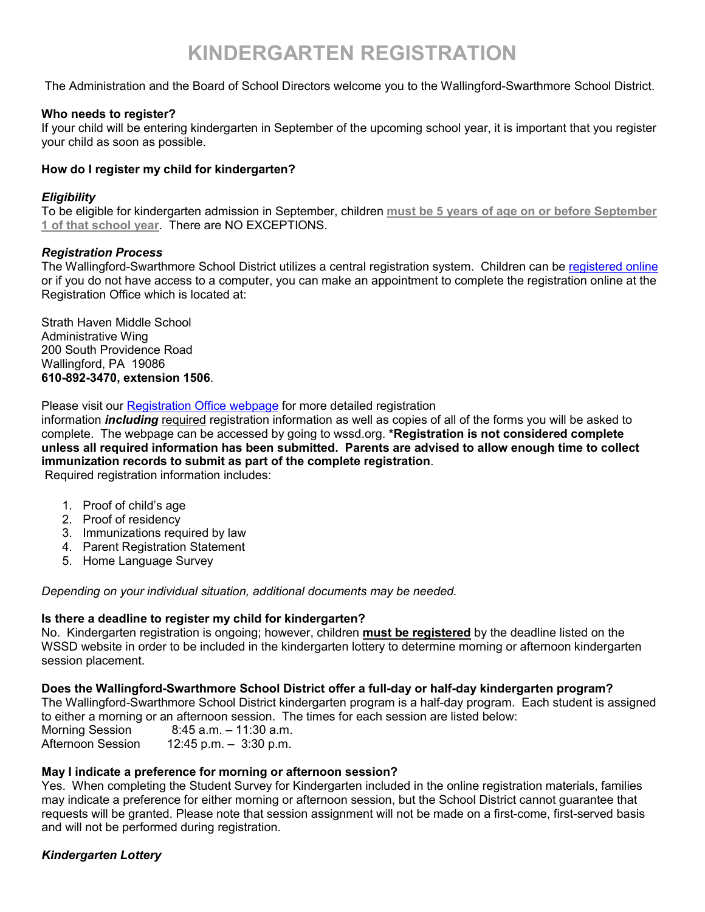# **KINDERGARTEN REGISTRATION**

The Administration and the Board of School Directors welcome you to the Wallingford-Swarthmore School District.

# **Who needs to register?**

If your child will be entering kindergarten in September of the upcoming school year, it is important that you register your child as soon as possible.

## **How do I register my child for kindergarten?**

## *Eligibility*

To be eligible for kindergarten admission in September, children **must be 5 years of age on or before September 1 of that school year**. There are NO EXCEPTIONS.

## *Registration Process*

The Wallingford-Swarthmore School District utilizes a central registration system. Children can be [registered online](https://www.wssd.org/Domain/20) or if you do not have access to a computer, you can make an appointment to complete the registration online at the Registration Office which is located at:

Strath Haven Middle School Administrative Wing 200 South Providence Road Wallingford, PA 19086 **610-892-3470, extension 1506**.

Please visit our [Registration Office webpage](https://www.wssd.org/Page/10967) for more detailed registration

information *including* required registration information as well as copies of all of the forms you will be asked to complete. The webpage can be accessed by going to wssd.org. **\*Registration is not considered complete unless all required information has been submitted. Parents are advised to allow enough time to collect immunization records to submit as part of the complete registration**.

Required registration information includes:

- 1. Proof of child's age
- 2. Proof of residency
- 3. Immunizations required by law
- 4. Parent Registration Statement
- 5. Home Language Survey

*Depending on your individual situation, additional documents may be needed.*

# **Is there a deadline to register my child for kindergarten?**

No. Kindergarten registration is ongoing; however, children **must be registered** by the deadline listed on the WSSD website in order to be included in the kindergarten lottery to determine morning or afternoon kindergarten session placement.

#### **Does the Wallingford-Swarthmore School District offer a full-day or half-day kindergarten program?**

The Wallingford-Swarthmore School District kindergarten program is a half-day program. Each student is assigned to either a morning or an afternoon session. The times for each session are listed below:

Morning Session 8:45 a.m. – 11:30 a.m.<br>Afternoon Session 12:45 p.m. – 3:30 p.m.  $12:45$  p.m. –  $3:30$  p.m.

# **May I indicate a preference for morning or afternoon session?**

Yes. When completing the Student Survey for Kindergarten included in the online registration materials, families may indicate a preference for either morning or afternoon session, but the School District cannot guarantee that requests will be granted. Please note that session assignment will not be made on a first-come, first-served basis and will not be performed during registration.

# *Kindergarten Lottery*